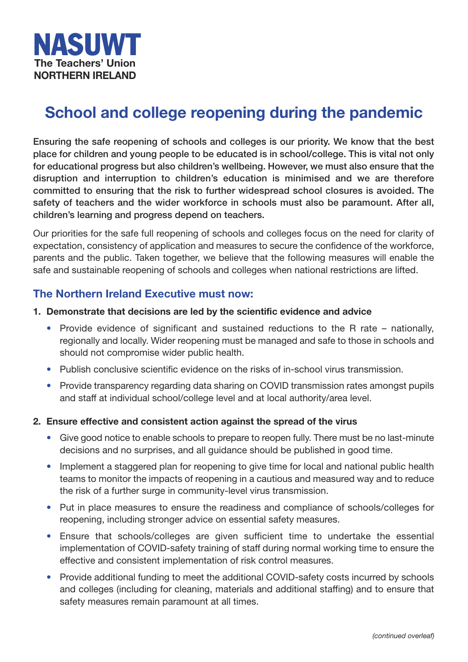

# **School and college reopening during the pandemic**

**Ensuring the safe reopening of schools and colleges is our priority. We know that the best place for children and young people to be educated is in school/college. This is vital not only for educational progress but also children's wellbeing. However, we must also ensure that the disruption and interruption to children's education is minimised and we are therefore committed to ensuring that the risk to further widespread school closures is avoided. The safety of teachers and the wider workforce in schools must also be paramount. After all, children's learning and progress depend on teachers.**

Our priorities for the safe full reopening of schools and colleges focus on the need for clarity of expectation, consistency of application and measures to secure the confidence of the workforce, parents and the public. Taken together, we believe that the following measures will enable the safe and sustainable reopening of schools and colleges when national restrictions are lifted.

# **The Northern Ireland Executive must now:**

- **1. Demonstrate that decisions are led by the scientific evidence and advice** 
	- Provide evidence of significant and sustained reductions to the R rate nationally, regionally and locally. Wider reopening must be managed and safe to those in schools and should not compromise wider public health.
	- Publish conclusive scientific evidence on the risks of in-school virus transmission.
	- Provide transparency regarding data sharing on COVID transmission rates amongst pupils and staff at individual school/college level and at local authority/area level.

## **2. Ensure effective and consistent action against the spread of the virus**

- Give good notice to enable schools to prepare to reopen fully. There must be no last-minute decisions and no surprises, and all guidance should be published in good time.
- Implement a staggered plan for reopening to give time for local and national public health teams to monitor the impacts of reopening in a cautious and measured way and to reduce the risk of a further surge in community-level virus transmission.
- Put in place measures to ensure the readiness and compliance of schools/colleges for reopening, including stronger advice on essential safety measures.
- Ensure that schools/colleges are given sufficient time to undertake the essential implementation of COVID-safety training of staff during normal working time to ensure the effective and consistent implementation of risk control measures.
- Provide additional funding to meet the additional COVID-safety costs incurred by schools and colleges (including for cleaning, materials and additional staffing) and to ensure that safety measures remain paramount at all times.